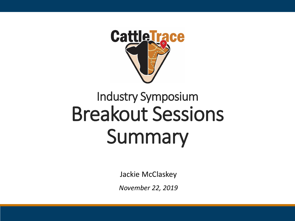

# Industry Symposium Breakout Sessions Summary

Jackie McClaskey

*November 22, 2019*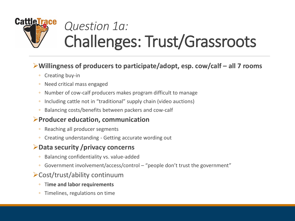

# *Question 1a:*  Challenges: Trust/Grassroots

#### **Willingness of producers to participate/adopt, esp. cow/calf – all 7 rooms**

- Creating buy-in
- Need critical mass engaged
- Number of cow-calf producers makes program difficult to manage
- Including cattle not in "traditional" supply chain (video auctions)
- Balancing costs/benefits between packers and cow-calf

#### **Producer education, communication**

- Reaching all producer segments
- Creating understanding Getting accurate wording out

#### **Data security /privacy concerns**

- Balancing confidentiality vs. value-added
- Government involvement/access/control "people don't trust the government"

#### Cost/trust/ability continuum

- T**ime and labor requirements**
- Timelines, regulations on time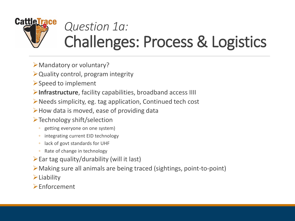

# *Question 1a:*  Challenges: Process & Logistics

- Mandatory or voluntary?
- $\triangleright$  Quality control, program integrity
- $\triangleright$  Speed to implement
- **Infrastructure**, facility capabilities, broadband access IIII
- Needs simplicity, eg. tag application, Continued tech cost
- $\triangleright$  How data is moved, ease of providing data
- Technology shift/selection
	- getting everyone on one system)
	- integrating current EID technology
	- lack of govt standards for UHF
	- Rate of change in technology
- $\triangleright$  Ear tag quality/durability (will it last)
- Making sure all animals are being traced (sightings, point-to-point)
- $\blacktriangleright$  Liability
- $\blacktriangleright$  Enforcement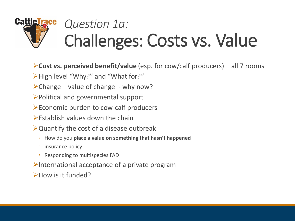## **CattleTrace** *Question 1a:*  Challenges: Costs vs. Value

- **Cost vs. perceived benefit/value** (esp. for cow/calf producers) all 7 rooms
- High level "Why?" and "What for?"
- $\triangleright$  Change value of change why now?
- Political and governmental support
- Economic burden to cow-calf producers
- $\triangleright$  Establish values down the chain
- Quantify the cost of a disease outbreak
	- How do you **place a value on something that hasn't happened**
	- insurance policy
	- Responding to multispecies FAD
- $\blacktriangleright$ International acceptance of a private program
- How is it funded?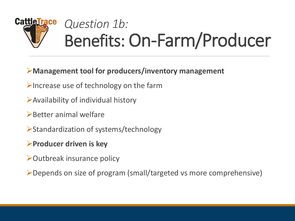# **CattleTrace** *Question 1b:*  Benefits: On-Farm/Producer

#### **Management tool for producers/inventory management**

- $\triangleright$  Increase use of technology on the farm
- Availability of individual history
- $\triangleright$  Better animal welfare
- Standardization of systems/technology
- **Producer driven is key**
- **Dutbreak insurance policy**

Depends on size of program (small/targeted vs more comprehensive)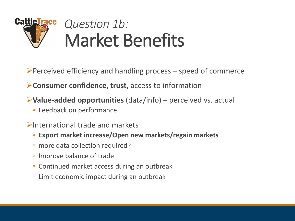

 $\triangleright$  Perceived efficiency and handling process – speed of commerce

**Consumer confidence, trust,** access to information

**Value-added opportunities** (data/info) – perceived vs. actual

◦ Feedback on performance

 $\triangleright$ International trade and markets

- **Export market increase/Open new markets/regain markets**
- more data collection required?
- Improve balance of trade
- Continued market access during an outbreak
- Limit economic impact during an outbreak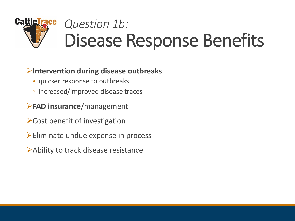## **CattleTrace** *Question 1b:*  Disease Response Benefits

#### **Intervention during disease outbreaks**

- quicker response to outbreaks
- increased/improved disease traces
- **FAD insurance**/management
- Cost benefit of investigation
- Eliminate undue expense in process
- Ability to track disease resistance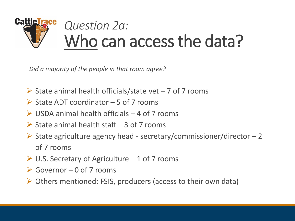

*Did a majority of the people in that room agree?*

- $\triangleright$  State animal health officials/state vet 7 of 7 rooms
- $\triangleright$  State ADT coordinator 5 of 7 rooms
- $\triangleright$  USDA animal health officials 4 of 7 rooms
- $\triangleright$  State animal health staff 3 of 7 rooms
- $\triangleright$  State agriculture agency head secretary/commissioner/director  $-2$ of 7 rooms
- $\triangleright$  U.S. Secretary of Agriculture 1 of 7 rooms
- $\triangleright$  Governor 0 of 7 rooms
- Others mentioned: FSIS, producers (access to their own data)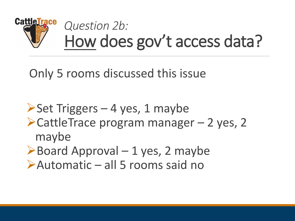

Only 5 rooms discussed this issue

 $\triangleright$  Set Triggers – 4 yes, 1 maybe  $\blacktriangleright$  CattleTrace program manager – 2 yes, 2 maybe  $\triangleright$  Board Approval – 1 yes, 2 maybe

Automatic – all 5 rooms said no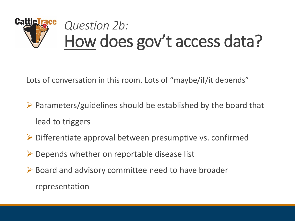# **CattleTrace** *Question 2b:*  How does gov't access data?

Lots of conversation in this room. Lots of "maybe/if/it depends"

- $\triangleright$  Parameters/guidelines should be established by the board that lead to triggers
- $\triangleright$  Differentiate approval between presumptive vs. confirmed
- $\triangleright$  Depends whether on reportable disease list
- $\triangleright$  Board and advisory committee need to have broader representation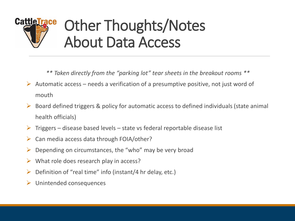# **CattleTrace** Other Thoughts/Notes About Data Access

*\*\* Taken directly from the "parking lot" tear sheets in the breakout rooms \*\**

- Automatic access needs a verification of a presumptive positive, not just word of mouth
- $\triangleright$  Board defined triggers & policy for automatic access to defined individuals (state animal health officials)
- Triggers disease based levels state vs federal reportable disease list
- Can media access data through FOIA/other?
- $\triangleright$  Depending on circumstances, the "who" may be very broad
- $\triangleright$  What role does research play in access?
- Definition of "real time" info (instant/4 hr delay, etc.)
- Unintended consequences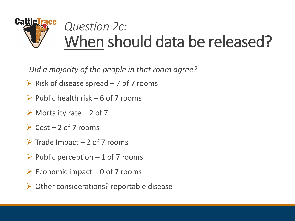

*Did a majority of the people in that room agree?*

- $\triangleright$  Risk of disease spread 7 of 7 rooms
- $\triangleright$  Public health risk 6 of 7 rooms
- $\triangleright$  Mortality rate 2 of 7
- $\triangleright$  Cost 2 of 7 rooms
- $\triangleright$  Trade Impact 2 of 7 rooms
- $\triangleright$  Public perception 1 of 7 rooms
- $\triangleright$  Economic impact 0 of 7 rooms
- Other considerations? reportable disease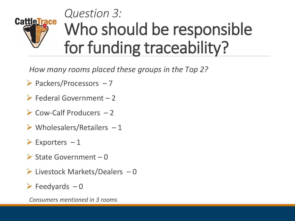# *Question 3:* **CattleTrace** Who should be responsible for funding traceability?

*How many rooms placed these groups in the Top 2?*

- $\triangleright$  Packers/Processors  $-7$
- $\triangleright$  Federal Government 2
- $\triangleright$  Cow-Calf Producers  $-2$
- $\triangleright$  Wholesalers/Retailers 1
- $\triangleright$  Exporters  $-1$
- $\triangleright$  State Government 0
- $\triangleright$  Livestock Markets/Dealers  $-0$
- $\triangleright$  Feedyards  $-0$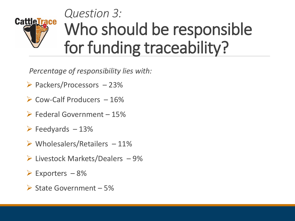# *Question 3:* **CattleTrace** Who should be responsible for funding traceability?

*Percentage of responsibility lies with:*

- $\triangleright$  Packers/Processors 23%
- $\triangleright$  Cow-Calf Producers  $-16\%$
- $\triangleright$  Federal Government 15%
- $\triangleright$  Feedyards  $-13%$
- $\triangleright$  Wholesalers/Retailers 11%
- $\triangleright$  Livestock Markets/Dealers  $-9\%$
- $\triangleright$  Exporters  $-8\%$
- $\triangleright$  State Government 5%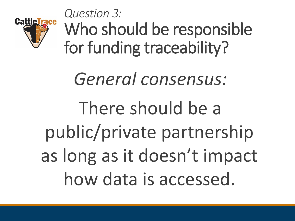

*Question 3:* Who should be responsible for funding traceability?

*General consensus:*  There should be a public/private partnership as long as it doesn't impact how data is accessed.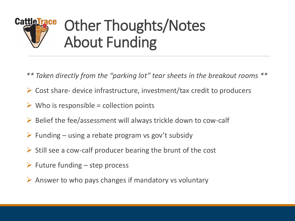# Other Thoughts/Notes **CattleTrace** About Funding

- *\*\* Taken directly from the "parking lot" tear sheets in the breakout rooms \*\**
- $\triangleright$  Cost share- device infrastructure, investment/tax credit to producers
- $\triangleright$  Who is responsible = collection points
- $\triangleright$  Belief the fee/assessment will always trickle down to cow-calf
- $\triangleright$  Funding using a rebate program vs gov't subsidy
- $\triangleright$  Still see a cow-calf producer bearing the brunt of the cost
- $\triangleright$  Future funding step process
- $\triangleright$  Answer to who pays changes if mandatory vs voluntary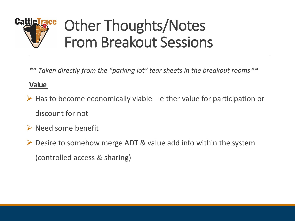

*\*\* Taken directly from the "parking lot" tear sheets in the breakout rooms \*\**

#### **Value**

- $\triangleright$  Has to become economically viable either value for participation or discount for not
- $\triangleright$  Need some benefit
- $\triangleright$  Desire to somehow merge ADT & value add info within the system (controlled access & sharing)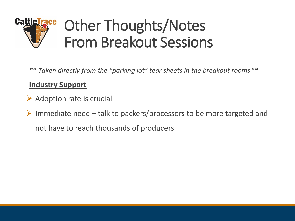

*\*\* Taken directly from the "parking lot" tear sheets in the breakout rooms \*\**

#### **Industry Support**

- $\triangleright$  Adoption rate is crucial
- $\triangleright$  Immediate need talk to packers/processors to be more targeted and not have to reach thousands of producers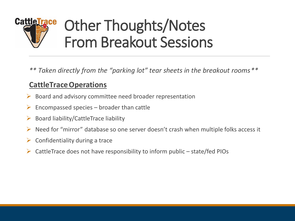

*\*\* Taken directly from the "parking lot" tear sheets in the breakout rooms \*\**

#### **CattleTraceOperations**

- $\triangleright$  Board and advisory committee need broader representation
- Encompassed species broader than cattle
- $\triangleright$  Board liability/CattleTrace liability
- Need for "mirror" database so one server doesn't crash when multiple folks access it
- $\triangleright$  Confidentiality during a trace
- CattleTrace does not have responsibility to inform public state/fed PIOs